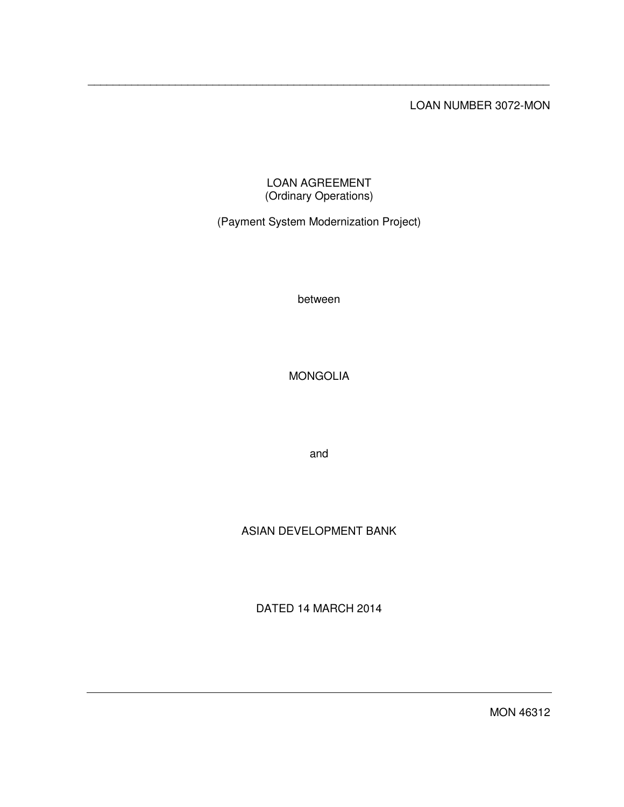LOAN NUMBER 3072-MON

LOAN AGREEMENT (Ordinary Operations)

\_\_\_\_\_\_\_\_\_\_\_\_\_\_\_\_\_\_\_\_\_\_\_\_\_\_\_\_\_\_\_\_\_\_\_\_\_\_\_\_\_\_\_\_\_\_\_\_\_\_\_\_\_\_\_\_\_\_\_\_\_\_\_\_\_\_\_\_\_\_\_\_\_\_

(Payment System Modernization Project)

between

**MONGOLIA** 

and

ASIAN DEVELOPMENT BANK

DATED 14 MARCH 2014

MON 46312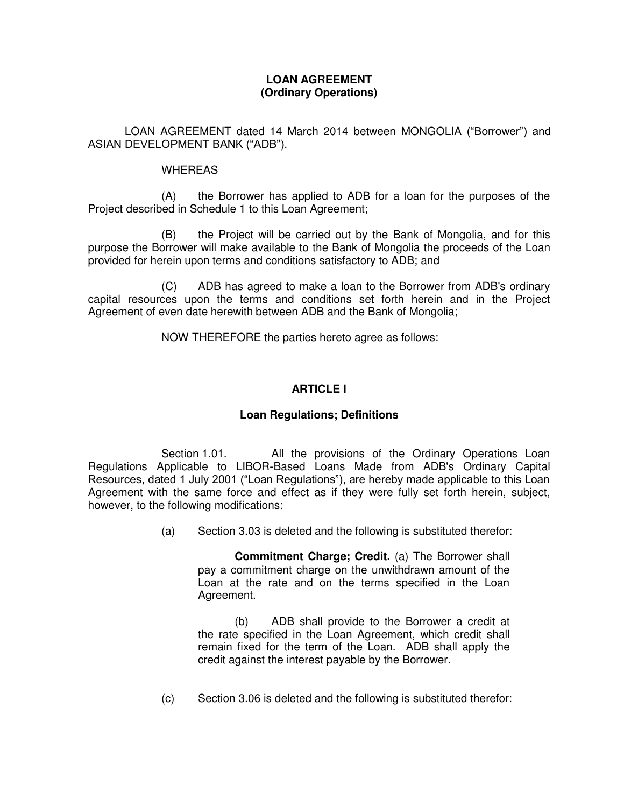## **LOAN AGREEMENT (Ordinary Operations)**

LOAN AGREEMENT dated 14 March 2014 between MONGOLIA ("Borrower") and ASIAN DEVELOPMENT BANK ("ADB").

### WHEREAS

 (A) the Borrower has applied to ADB for a loan for the purposes of the Project described in Schedule 1 to this Loan Agreement;

(B) the Project will be carried out by the Bank of Mongolia, and for this purpose the Borrower will make available to the Bank of Mongolia the proceeds of the Loan provided for herein upon terms and conditions satisfactory to ADB; and

 (C) ADB has agreed to make a loan to the Borrower from ADB's ordinary capital resources upon the terms and conditions set forth herein and in the Project Agreement of even date herewith between ADB and the Bank of Mongolia;

NOW THEREFORE the parties hereto agree as follows:

## **ARTICLE I**

## **Loan Regulations; Definitions**

Section 1.01. All the provisions of the Ordinary Operations Loan Regulations Applicable to LIBOR-Based Loans Made from ADB's Ordinary Capital Resources, dated 1 July 2001 ("Loan Regulations"), are hereby made applicable to this Loan Agreement with the same force and effect as if they were fully set forth herein, subject, however, to the following modifications:

(a) Section 3.03 is deleted and the following is substituted therefor:

**Commitment Charge; Credit.** (a) The Borrower shall pay a commitment charge on the unwithdrawn amount of the Loan at the rate and on the terms specified in the Loan Agreement.

(b) ADB shall provide to the Borrower a credit at the rate specified in the Loan Agreement, which credit shall remain fixed for the term of the Loan. ADB shall apply the credit against the interest payable by the Borrower.

(c) Section 3.06 is deleted and the following is substituted therefor: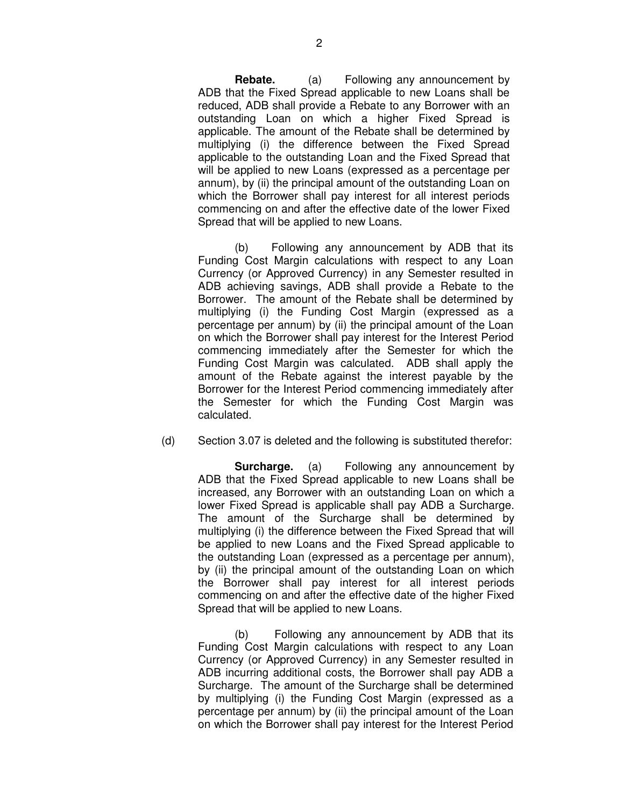**Rebate.** (a) Following any announcement by ADB that the Fixed Spread applicable to new Loans shall be reduced, ADB shall provide a Rebate to any Borrower with an outstanding Loan on which a higher Fixed Spread is applicable. The amount of the Rebate shall be determined by multiplying (i) the difference between the Fixed Spread applicable to the outstanding Loan and the Fixed Spread that will be applied to new Loans (expressed as a percentage per annum), by (ii) the principal amount of the outstanding Loan on which the Borrower shall pay interest for all interest periods commencing on and after the effective date of the lower Fixed Spread that will be applied to new Loans.

(b) Following any announcement by ADB that its Funding Cost Margin calculations with respect to any Loan Currency (or Approved Currency) in any Semester resulted in ADB achieving savings, ADB shall provide a Rebate to the Borrower. The amount of the Rebate shall be determined by multiplying (i) the Funding Cost Margin (expressed as a percentage per annum) by (ii) the principal amount of the Loan on which the Borrower shall pay interest for the Interest Period commencing immediately after the Semester for which the Funding Cost Margin was calculated. ADB shall apply the amount of the Rebate against the interest payable by the Borrower for the Interest Period commencing immediately after the Semester for which the Funding Cost Margin was calculated.

(d) Section 3.07 is deleted and the following is substituted therefor:

**Surcharge.** (a) Following any announcement by ADB that the Fixed Spread applicable to new Loans shall be increased, any Borrower with an outstanding Loan on which a lower Fixed Spread is applicable shall pay ADB a Surcharge. The amount of the Surcharge shall be determined by multiplying (i) the difference between the Fixed Spread that will be applied to new Loans and the Fixed Spread applicable to the outstanding Loan (expressed as a percentage per annum), by (ii) the principal amount of the outstanding Loan on which the Borrower shall pay interest for all interest periods commencing on and after the effective date of the higher Fixed Spread that will be applied to new Loans.

(b) Following any announcement by ADB that its Funding Cost Margin calculations with respect to any Loan Currency (or Approved Currency) in any Semester resulted in ADB incurring additional costs, the Borrower shall pay ADB a Surcharge. The amount of the Surcharge shall be determined by multiplying (i) the Funding Cost Margin (expressed as a percentage per annum) by (ii) the principal amount of the Loan on which the Borrower shall pay interest for the Interest Period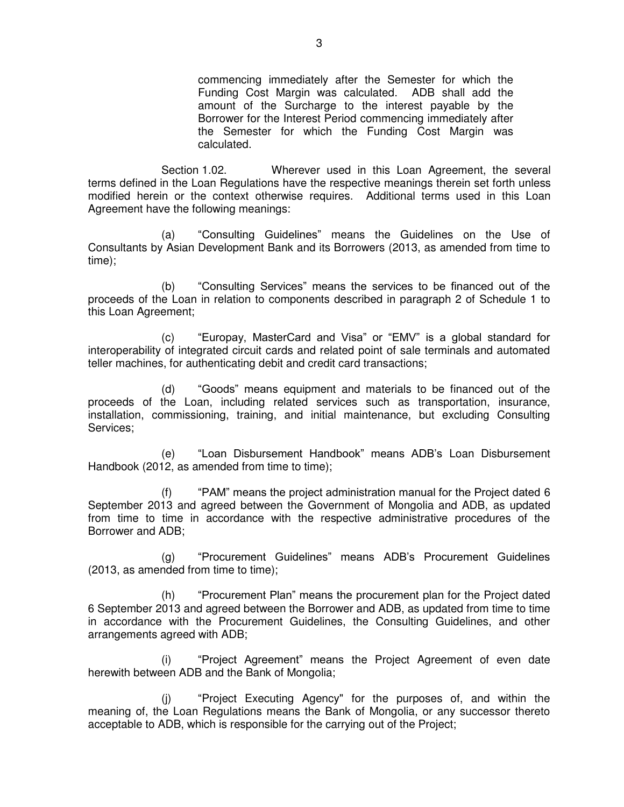commencing immediately after the Semester for which the Funding Cost Margin was calculated. ADB shall add the amount of the Surcharge to the interest payable by the Borrower for the Interest Period commencing immediately after the Semester for which the Funding Cost Margin was calculated.

 Section 1.02. Wherever used in this Loan Agreement, the several terms defined in the Loan Regulations have the respective meanings therein set forth unless modified herein or the context otherwise requires. Additional terms used in this Loan Agreement have the following meanings:

(a) "Consulting Guidelines" means the Guidelines on the Use of Consultants by Asian Development Bank and its Borrowers (2013, as amended from time to time);

(b) "Consulting Services" means the services to be financed out of the proceeds of the Loan in relation to components described in paragraph 2 of Schedule 1 to this Loan Agreement;

(c) "Europay, MasterCard and Visa" or "EMV" is a global standard for interoperability of integrated circuit cards and related point of sale terminals and automated teller machines, for authenticating debit and credit card transactions;

(d) "Goods" means equipment and materials to be financed out of the proceeds of the Loan, including related services such as transportation, insurance, installation, commissioning, training, and initial maintenance, but excluding Consulting Services;

(e) "Loan Disbursement Handbook" means ADB's Loan Disbursement Handbook (2012, as amended from time to time);

(f) "PAM" means the project administration manual for the Project dated 6 September 2013 and agreed between the Government of Mongolia and ADB, as updated from time to time in accordance with the respective administrative procedures of the Borrower and ADB;

(g) "Procurement Guidelines" means ADB's Procurement Guidelines (2013, as amended from time to time);

(h) "Procurement Plan" means the procurement plan for the Project dated 6 September 2013 and agreed between the Borrower and ADB, as updated from time to time in accordance with the Procurement Guidelines, the Consulting Guidelines, and other arrangements agreed with ADB;

(i) "Project Agreement" means the Project Agreement of even date herewith between ADB and the Bank of Mongolia;

(j) "Project Executing Agency" for the purposes of, and within the meaning of, the Loan Regulations means the Bank of Mongolia, or any successor thereto acceptable to ADB, which is responsible for the carrying out of the Project;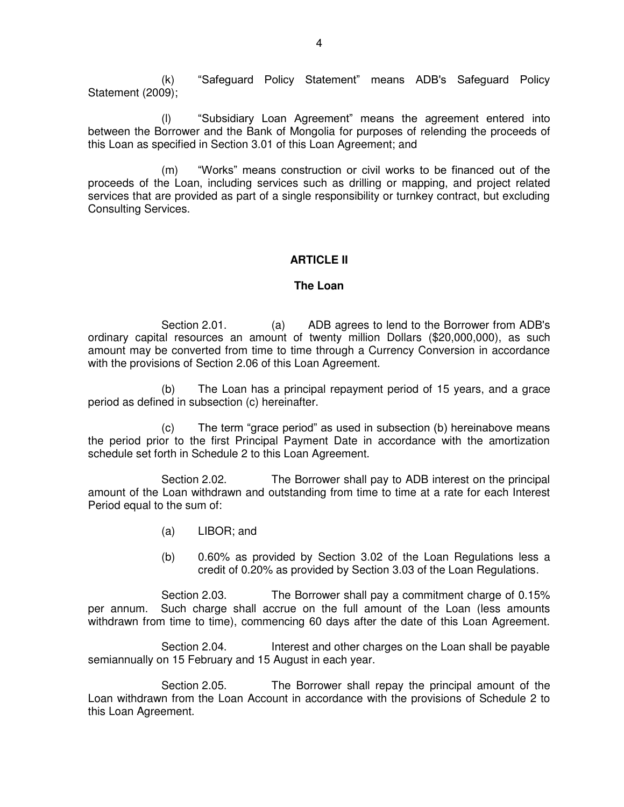(k) "Safeguard Policy Statement" means ADB's Safeguard Policy Statement (2009);

(l) "Subsidiary Loan Agreement" means the agreement entered into between the Borrower and the Bank of Mongolia for purposes of relending the proceeds of this Loan as specified in Section 3.01 of this Loan Agreement; and

(m) "Works" means construction or civil works to be financed out of the proceeds of the Loan, including services such as drilling or mapping, and project related services that are provided as part of a single responsibility or turnkey contract, but excluding Consulting Services.

## **ARTICLE II**

## **The Loan**

 Section 2.01. (a) ADB agrees to lend to the Borrower from ADB's ordinary capital resources an amount of twenty million Dollars (\$20,000,000), as such amount may be converted from time to time through a Currency Conversion in accordance with the provisions of Section 2.06 of this Loan Agreement.

(b) The Loan has a principal repayment period of 15 years, and a grace period as defined in subsection (c) hereinafter.

(c) The term "grace period" as used in subsection (b) hereinabove means the period prior to the first Principal Payment Date in accordance with the amortization schedule set forth in Schedule 2 to this Loan Agreement.

Section 2.02. The Borrower shall pay to ADB interest on the principal amount of the Loan withdrawn and outstanding from time to time at a rate for each Interest Period equal to the sum of:

- (a) LIBOR; and
- (b) 0.60% as provided by Section 3.02 of the Loan Regulations less a credit of 0.20% as provided by Section 3.03 of the Loan Regulations.

 Section 2.03. The Borrower shall pay a commitment charge of 0.15% per annum. Such charge shall accrue on the full amount of the Loan (less amounts withdrawn from time to time), commencing 60 days after the date of this Loan Agreement.

 Section 2.04. Interest and other charges on the Loan shall be payable semiannually on 15 February and 15 August in each year.

 Section 2.05. The Borrower shall repay the principal amount of the Loan withdrawn from the Loan Account in accordance with the provisions of Schedule 2 to this Loan Agreement.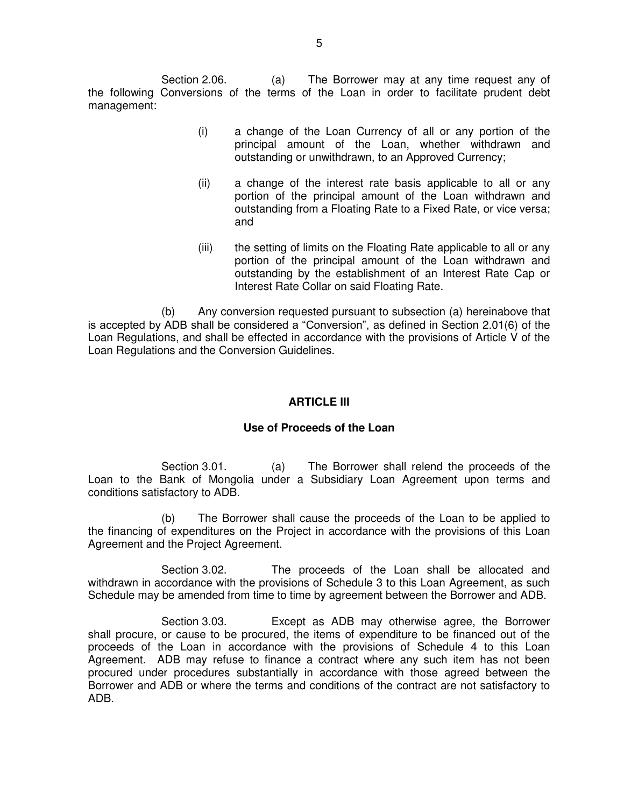Section 2.06. (a) The Borrower may at any time request any of the following Conversions of the terms of the Loan in order to facilitate prudent debt management:

- (i) a change of the Loan Currency of all or any portion of the principal amount of the Loan, whether withdrawn and outstanding or unwithdrawn, to an Approved Currency;
- (ii) a change of the interest rate basis applicable to all or any portion of the principal amount of the Loan withdrawn and outstanding from a Floating Rate to a Fixed Rate, or vice versa; and
- (iii) the setting of limits on the Floating Rate applicable to all or any portion of the principal amount of the Loan withdrawn and outstanding by the establishment of an Interest Rate Cap or Interest Rate Collar on said Floating Rate.

(b) Any conversion requested pursuant to subsection (a) hereinabove that is accepted by ADB shall be considered a "Conversion", as defined in Section 2.01(6) of the Loan Regulations, and shall be effected in accordance with the provisions of Article V of the Loan Regulations and the Conversion Guidelines.

#### **ARTICLE III**

#### **Use of Proceeds of the Loan**

Section 3.01. (a) The Borrower shall relend the proceeds of the Loan to the Bank of Mongolia under a Subsidiary Loan Agreement upon terms and conditions satisfactory to ADB.

(b) The Borrower shall cause the proceeds of the Loan to be applied to the financing of expenditures on the Project in accordance with the provisions of this Loan Agreement and the Project Agreement.

 Section 3.02. The proceeds of the Loan shall be allocated and withdrawn in accordance with the provisions of Schedule 3 to this Loan Agreement, as such Schedule may be amended from time to time by agreement between the Borrower and ADB.

 Section 3.03. Except as ADB may otherwise agree, the Borrower shall procure, or cause to be procured, the items of expenditure to be financed out of the proceeds of the Loan in accordance with the provisions of Schedule 4 to this Loan Agreement. ADB may refuse to finance a contract where any such item has not been procured under procedures substantially in accordance with those agreed between the Borrower and ADB or where the terms and conditions of the contract are not satisfactory to ADB.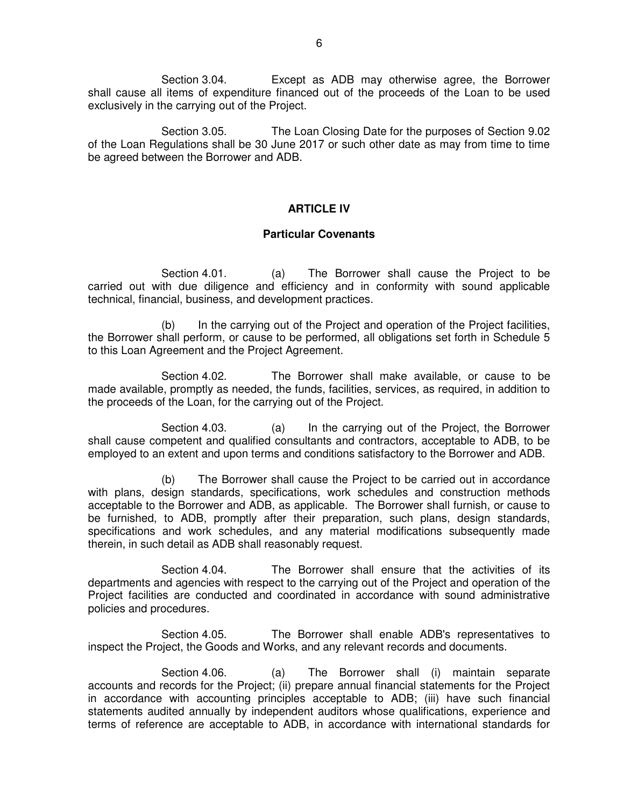Section 3.04. Except as ADB may otherwise agree, the Borrower shall cause all items of expenditure financed out of the proceeds of the Loan to be used exclusively in the carrying out of the Project.

 Section 3.05. The Loan Closing Date for the purposes of Section 9.02 of the Loan Regulations shall be 30 June 2017 or such other date as may from time to time be agreed between the Borrower and ADB.

## **ARTICLE IV**

#### **Particular Covenants**

 Section 4.01. (a) The Borrower shall cause the Project to be carried out with due diligence and efficiency and in conformity with sound applicable technical, financial, business, and development practices.

 (b) In the carrying out of the Project and operation of the Project facilities, the Borrower shall perform, or cause to be performed, all obligations set forth in Schedule 5 to this Loan Agreement and the Project Agreement.

 Section 4.02. The Borrower shall make available, or cause to be made available, promptly as needed, the funds, facilities, services, as required, in addition to the proceeds of the Loan, for the carrying out of the Project.

Section 4.03. (a) In the carrying out of the Project, the Borrower shall cause competent and qualified consultants and contractors, acceptable to ADB, to be employed to an extent and upon terms and conditions satisfactory to the Borrower and ADB.

 (b) The Borrower shall cause the Project to be carried out in accordance with plans, design standards, specifications, work schedules and construction methods acceptable to the Borrower and ADB, as applicable. The Borrower shall furnish, or cause to be furnished, to ADB, promptly after their preparation, such plans, design standards, specifications and work schedules, and any material modifications subsequently made therein, in such detail as ADB shall reasonably request.

 Section 4.04. The Borrower shall ensure that the activities of its departments and agencies with respect to the carrying out of the Project and operation of the Project facilities are conducted and coordinated in accordance with sound administrative policies and procedures.

 Section 4.05. The Borrower shall enable ADB's representatives to inspect the Project, the Goods and Works, and any relevant records and documents.

Section 4.06. (a) The Borrower shall (i) maintain separate accounts and records for the Project; (ii) prepare annual financial statements for the Project in accordance with accounting principles acceptable to ADB; (iii) have such financial statements audited annually by independent auditors whose qualifications, experience and terms of reference are acceptable to ADB, in accordance with international standards for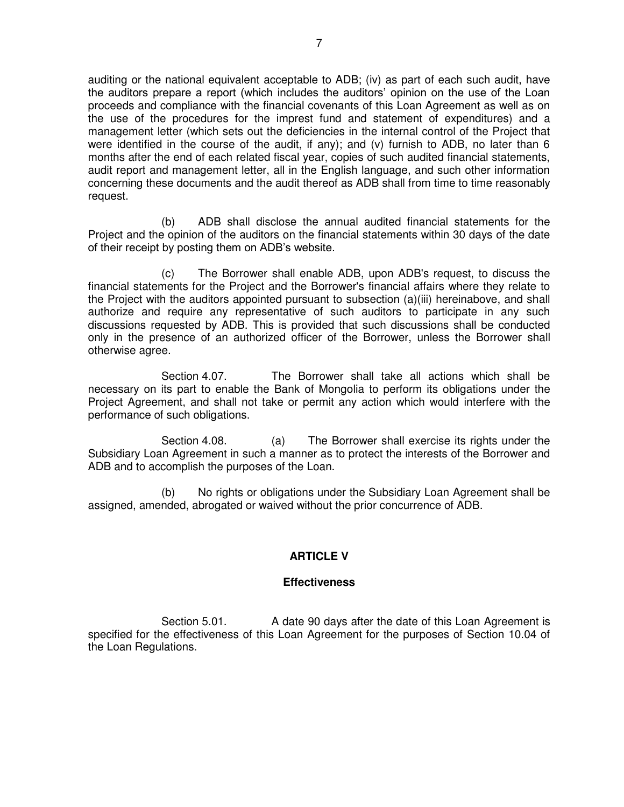auditing or the national equivalent acceptable to ADB; (iv) as part of each such audit, have the auditors prepare a report (which includes the auditors' opinion on the use of the Loan proceeds and compliance with the financial covenants of this Loan Agreement as well as on the use of the procedures for the imprest fund and statement of expenditures) and a management letter (which sets out the deficiencies in the internal control of the Project that were identified in the course of the audit, if any); and (v) furnish to ADB, no later than 6 months after the end of each related fiscal year, copies of such audited financial statements, audit report and management letter, all in the English language, and such other information concerning these documents and the audit thereof as ADB shall from time to time reasonably request.

 (b) ADB shall disclose the annual audited financial statements for the Project and the opinion of the auditors on the financial statements within 30 days of the date of their receipt by posting them on ADB's website.

 (c) The Borrower shall enable ADB, upon ADB's request, to discuss the financial statements for the Project and the Borrower's financial affairs where they relate to the Project with the auditors appointed pursuant to subsection (a)(iii) hereinabove, and shall authorize and require any representative of such auditors to participate in any such discussions requested by ADB. This is provided that such discussions shall be conducted only in the presence of an authorized officer of the Borrower, unless the Borrower shall otherwise agree.

Section 4.07. The Borrower shall take all actions which shall be necessary on its part to enable the Bank of Mongolia to perform its obligations under the Project Agreement, and shall not take or permit any action which would interfere with the performance of such obligations.

Section 4.08. (a) The Borrower shall exercise its rights under the Subsidiary Loan Agreement in such a manner as to protect the interests of the Borrower and ADB and to accomplish the purposes of the Loan.

(b) No rights or obligations under the Subsidiary Loan Agreement shall be assigned, amended, abrogated or waived without the prior concurrence of ADB.

## **ARTICLE V**

## **Effectiveness**

Section 5.01. A date 90 days after the date of this Loan Agreement is specified for the effectiveness of this Loan Agreement for the purposes of Section 10.04 of the Loan Regulations.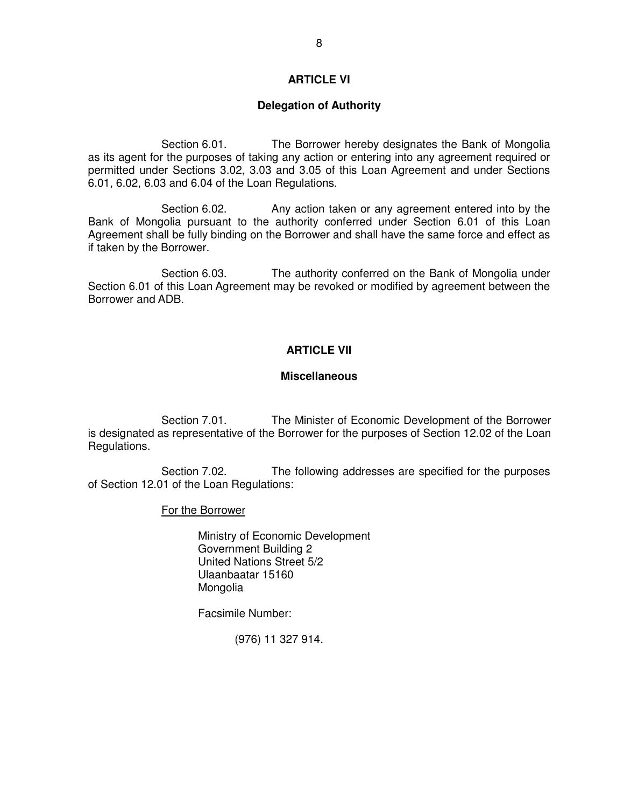## **ARTICLE VI**

#### **Delegation of Authority**

 Section 6.01. The Borrower hereby designates the Bank of Mongolia as its agent for the purposes of taking any action or entering into any agreement required or permitted under Sections 3.02, 3.03 and 3.05 of this Loan Agreement and under Sections 6.01, 6.02, 6.03 and 6.04 of the Loan Regulations.

 Section 6.02. Any action taken or any agreement entered into by the Bank of Mongolia pursuant to the authority conferred under Section 6.01 of this Loan Agreement shall be fully binding on the Borrower and shall have the same force and effect as if taken by the Borrower.

 Section 6.03. The authority conferred on the Bank of Mongolia under Section 6.01 of this Loan Agreement may be revoked or modified by agreement between the Borrower and ADB.

## **ARTICLE VII**

## **Miscellaneous**

 Section 7.01. The Minister of Economic Development of the Borrower is designated as representative of the Borrower for the purposes of Section 12.02 of the Loan Regulations.

 Section 7.02. The following addresses are specified for the purposes of Section 12.01 of the Loan Regulations:

For the Borrower

 Ministry of Economic Development Government Building 2 United Nations Street 5/2 Ulaanbaatar 15160 Mongolia

Facsimile Number:

(976) 11 327 914.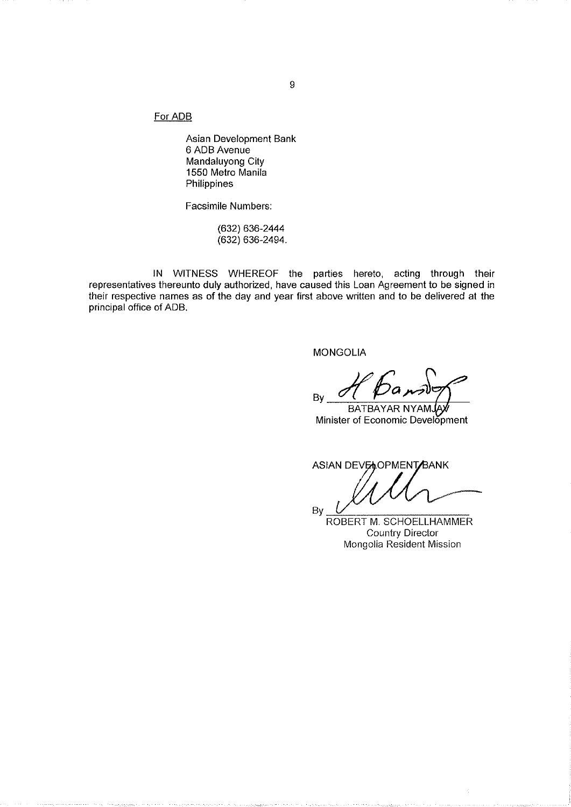For ADB

Asian Development Bank 6 ADB Avenue Mandaluyong City 1550 Metro Manila Philippines

Facsimile Numbers:

(632) 636-2444 (632) 636-2494.

IN WITNESS WHEREOF the parties hereto, acting through their<br>representatives thereunto duly authorized, have caused this Loan Agreement to be signed in their respective names as of the day and year first above written and to be delivered at the principal office of ADB.

**MONGOLIA** 

By

BATBAYAR NYAMJ Minister of Economic Development

ASIAN DEVELOPMENT/BANK

By

ROBERT M. SCHOELLHAMMER **Country Director** Mongolia Resident Mission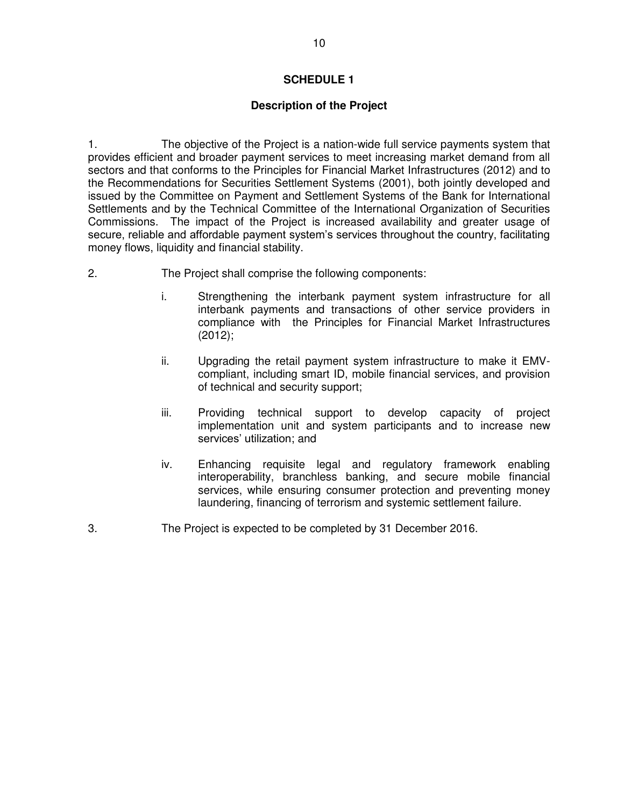## **Description of the Project**

1. The objective of the Project is a nation-wide full service payments system that provides efficient and broader payment services to meet increasing market demand from all sectors and that conforms to the Principles for Financial Market Infrastructures (2012) and to the Recommendations for Securities Settlement Systems (2001), both jointly developed and issued by the Committee on Payment and Settlement Systems of the Bank for International Settlements and by the Technical Committee of the International Organization of Securities Commissions. The impact of the Project is increased availability and greater usage of secure, reliable and affordable payment system's services throughout the country, facilitating money flows, liquidity and financial stability.

- 2. The Project shall comprise the following components:
	- i. Strengthening the interbank payment system infrastructure for all interbank payments and transactions of other service providers in compliance with the Principles for Financial Market Infrastructures (2012);
	- ii. Upgrading the retail payment system infrastructure to make it EMVcompliant, including smart ID, mobile financial services, and provision of technical and security support;
	- iii. Providing technical support to develop capacity of project implementation unit and system participants and to increase new services' utilization; and
	- iv. Enhancing requisite legal and regulatory framework enabling interoperability, branchless banking, and secure mobile financial services, while ensuring consumer protection and preventing money laundering, financing of terrorism and systemic settlement failure.
- 3. The Project is expected to be completed by 31 December 2016.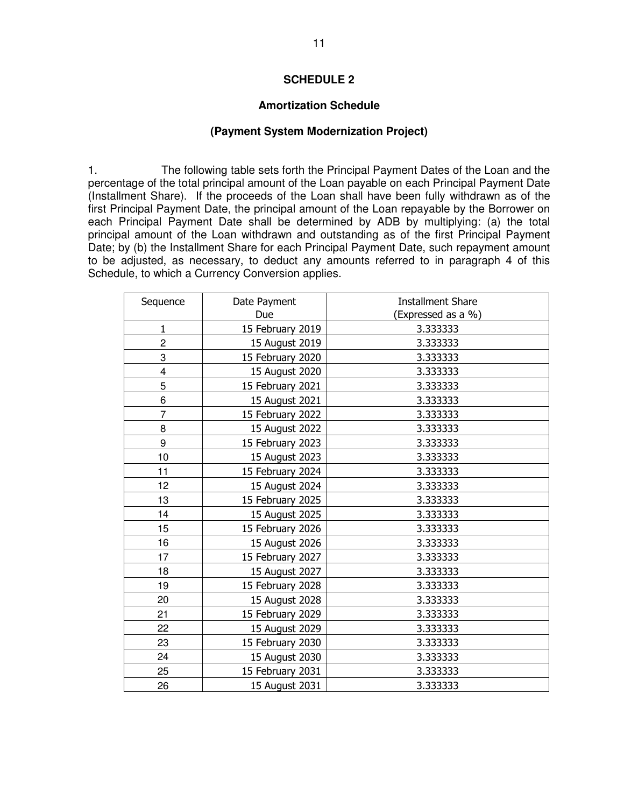#### **Amortization Schedule**

#### **(Payment System Modernization Project)**

1. The following table sets forth the Principal Payment Dates of the Loan and the percentage of the total principal amount of the Loan payable on each Principal Payment Date (Installment Share). If the proceeds of the Loan shall have been fully withdrawn as of the first Principal Payment Date, the principal amount of the Loan repayable by the Borrower on each Principal Payment Date shall be determined by ADB by multiplying: (a) the total principal amount of the Loan withdrawn and outstanding as of the first Principal Payment Date; by (b) the Installment Share for each Principal Payment Date, such repayment amount to be adjusted, as necessary, to deduct any amounts referred to in paragraph 4 of this Schedule, to which a Currency Conversion applies.

| Sequence                | Date Payment<br>Due          | <b>Installment Share</b><br>(Expressed as a %) |  |  |
|-------------------------|------------------------------|------------------------------------------------|--|--|
| 1                       | 15 February 2019             | 3.333333                                       |  |  |
| $\overline{c}$          | 15 August 2019               | 3.333333                                       |  |  |
| 3                       | 15 February 2020             | 3.333333                                       |  |  |
| $\overline{\mathbf{4}}$ | 15 August 2020               | 3.333333                                       |  |  |
| 5                       | 15 February 2021             | 3.333333                                       |  |  |
| 6                       | 15 August 2021               | 3.333333                                       |  |  |
| $\overline{7}$          | 15 February 2022             | 3.333333                                       |  |  |
| 8                       | 15 August 2022               | 3.333333                                       |  |  |
| 9                       | 15 February 2023             | 3.333333                                       |  |  |
| 10                      | 15 August 2023               | 3.333333                                       |  |  |
| 11                      | 15 February 2024             | 3.333333                                       |  |  |
| 12                      | 15 August 2024               | 3.333333                                       |  |  |
| 13                      | 15 February 2025             | 3.333333                                       |  |  |
| 14                      | 15 August 2025               | 3.333333                                       |  |  |
| 15                      | 15 February 2026             | 3.333333                                       |  |  |
| 16                      | 15 August 2026               | 3.333333                                       |  |  |
| 17                      | 15 February 2027             | 3.333333                                       |  |  |
| 18                      | 15 August 2027               | 3.333333                                       |  |  |
| 19                      | 15 February 2028             | 3.333333                                       |  |  |
| 20                      | 15 August 2028               | 3.333333                                       |  |  |
| 21                      | 15 February 2029             | 3.333333                                       |  |  |
| 22                      | 15 August 2029               | 3.333333                                       |  |  |
| 23                      | 15 February 2030             | 3.333333                                       |  |  |
| 24                      | 15 August 2030               | 3.333333                                       |  |  |
| 25                      | 15 February 2031<br>3.333333 |                                                |  |  |
| 26                      | 15 August 2031<br>3.333333   |                                                |  |  |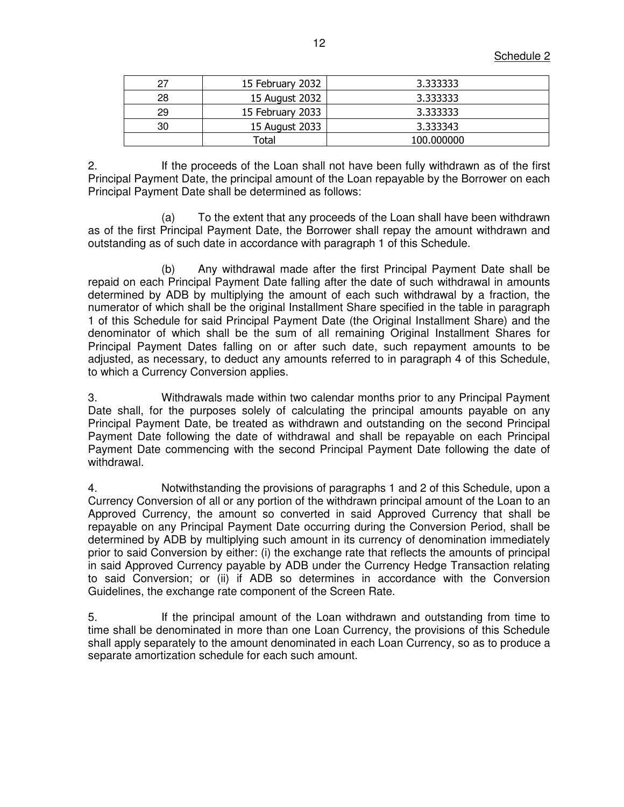| 27 | 15 February 2032 | 3.333333   |  |
|----|------------------|------------|--|
| 28 | 15 August 2032   | 3.333333   |  |
| 29 | 15 February 2033 | 3.333333   |  |
| 30 | 15 August 2033   | 3.333343   |  |
|    | Total            | 100.000000 |  |

2. If the proceeds of the Loan shall not have been fully withdrawn as of the first Principal Payment Date, the principal amount of the Loan repayable by the Borrower on each Principal Payment Date shall be determined as follows:

(a) To the extent that any proceeds of the Loan shall have been withdrawn as of the first Principal Payment Date, the Borrower shall repay the amount withdrawn and outstanding as of such date in accordance with paragraph 1 of this Schedule.

(b) Any withdrawal made after the first Principal Payment Date shall be repaid on each Principal Payment Date falling after the date of such withdrawal in amounts determined by ADB by multiplying the amount of each such withdrawal by a fraction, the numerator of which shall be the original Installment Share specified in the table in paragraph 1 of this Schedule for said Principal Payment Date (the Original Installment Share) and the denominator of which shall be the sum of all remaining Original Installment Shares for Principal Payment Dates falling on or after such date, such repayment amounts to be adjusted, as necessary, to deduct any amounts referred to in paragraph 4 of this Schedule, to which a Currency Conversion applies.

3. Withdrawals made within two calendar months prior to any Principal Payment Date shall, for the purposes solely of calculating the principal amounts payable on any Principal Payment Date, be treated as withdrawn and outstanding on the second Principal Payment Date following the date of withdrawal and shall be repayable on each Principal Payment Date commencing with the second Principal Payment Date following the date of withdrawal.

4. Notwithstanding the provisions of paragraphs 1 and 2 of this Schedule, upon a Currency Conversion of all or any portion of the withdrawn principal amount of the Loan to an Approved Currency, the amount so converted in said Approved Currency that shall be repayable on any Principal Payment Date occurring during the Conversion Period, shall be determined by ADB by multiplying such amount in its currency of denomination immediately prior to said Conversion by either: (i) the exchange rate that reflects the amounts of principal in said Approved Currency payable by ADB under the Currency Hedge Transaction relating to said Conversion; or (ii) if ADB so determines in accordance with the Conversion Guidelines, the exchange rate component of the Screen Rate.

5. If the principal amount of the Loan withdrawn and outstanding from time to time shall be denominated in more than one Loan Currency, the provisions of this Schedule shall apply separately to the amount denominated in each Loan Currency, so as to produce a separate amortization schedule for each such amount.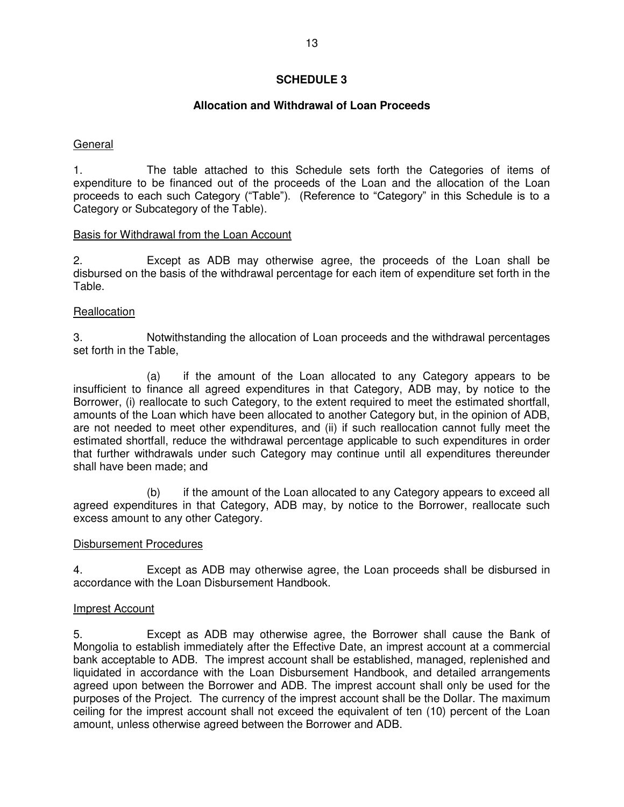## **Allocation and Withdrawal of Loan Proceeds**

## General

1. The table attached to this Schedule sets forth the Categories of items of expenditure to be financed out of the proceeds of the Loan and the allocation of the Loan proceeds to each such Category ("Table"). (Reference to "Category" in this Schedule is to a Category or Subcategory of the Table).

#### Basis for Withdrawal from the Loan Account

2. Except as ADB may otherwise agree, the proceeds of the Loan shall be disbursed on the basis of the withdrawal percentage for each item of expenditure set forth in the Table.

## **Reallocation**

3. Notwithstanding the allocation of Loan proceeds and the withdrawal percentages set forth in the Table,

 (a) if the amount of the Loan allocated to any Category appears to be insufficient to finance all agreed expenditures in that Category, ADB may, by notice to the Borrower, (i) reallocate to such Category, to the extent required to meet the estimated shortfall, amounts of the Loan which have been allocated to another Category but, in the opinion of ADB, are not needed to meet other expenditures, and (ii) if such reallocation cannot fully meet the estimated shortfall, reduce the withdrawal percentage applicable to such expenditures in order that further withdrawals under such Category may continue until all expenditures thereunder shall have been made; and

 (b) if the amount of the Loan allocated to any Category appears to exceed all agreed expenditures in that Category, ADB may, by notice to the Borrower, reallocate such excess amount to any other Category.

## Disbursement Procedures

4. Except as ADB may otherwise agree, the Loan proceeds shall be disbursed in accordance with the Loan Disbursement Handbook.

## Imprest Account

5. Except as ADB may otherwise agree, the Borrower shall cause the Bank of Mongolia to establish immediately after the Effective Date, an imprest account at a commercial bank acceptable to ADB. The imprest account shall be established, managed, replenished and liquidated in accordance with the Loan Disbursement Handbook, and detailed arrangements agreed upon between the Borrower and ADB. The imprest account shall only be used for the purposes of the Project. The currency of the imprest account shall be the Dollar. The maximum ceiling for the imprest account shall not exceed the equivalent of ten (10) percent of the Loan amount, unless otherwise agreed between the Borrower and ADB.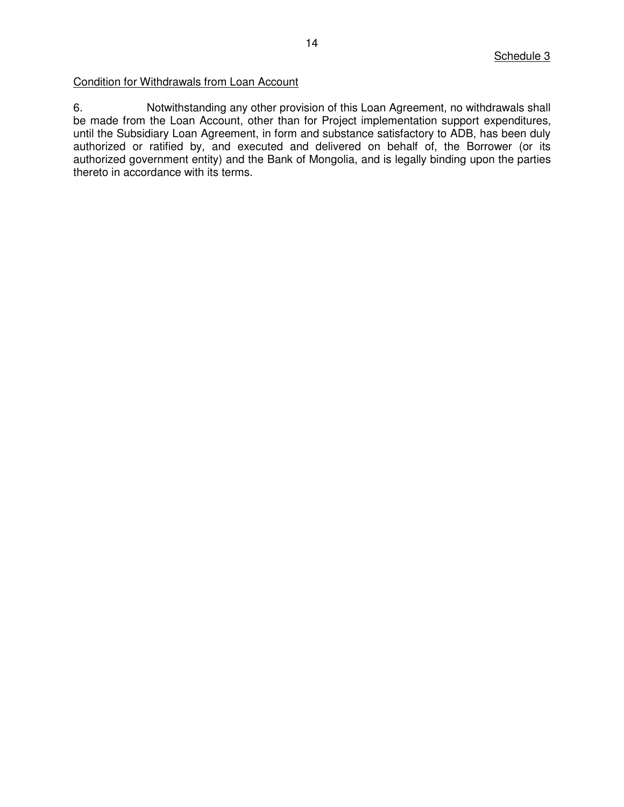## Condition for Withdrawals from Loan Account

6. Notwithstanding any other provision of this Loan Agreement, no withdrawals shall be made from the Loan Account, other than for Project implementation support expenditures, until the Subsidiary Loan Agreement, in form and substance satisfactory to ADB, has been duly authorized or ratified by, and executed and delivered on behalf of, the Borrower (or its authorized government entity) and the Bank of Mongolia, and is legally binding upon the parties thereto in accordance with its terms.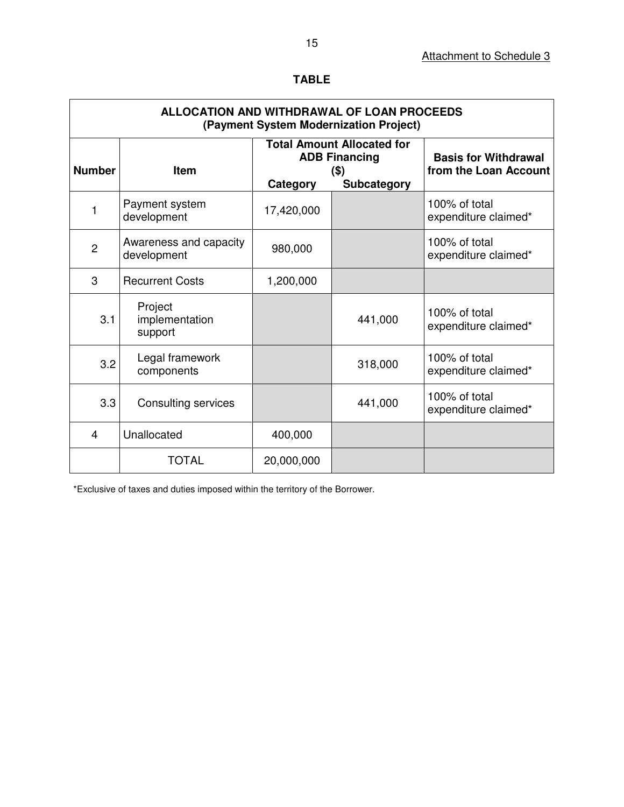|--|

| ALLOCATION AND WITHDRAWAL OF LOAN PROCEEDS<br>(Payment System Modernization Project) |                                                                                                                       |            |                                                      |                                       |  |  |  |
|--------------------------------------------------------------------------------------|-----------------------------------------------------------------------------------------------------------------------|------------|------------------------------------------------------|---------------------------------------|--|--|--|
| <b>Number</b>                                                                        | <b>Total Amount Allocated for</b><br><b>ADB Financing</b><br><b>Item</b><br>$($ \$)<br><b>Subcategory</b><br>Category |            | <b>Basis for Withdrawal</b><br>from the Loan Account |                                       |  |  |  |
| 1                                                                                    | Payment system<br>development                                                                                         | 17,420,000 |                                                      | 100% of total<br>expenditure claimed* |  |  |  |
| $\overline{2}$                                                                       | Awareness and capacity<br>development                                                                                 | 980,000    |                                                      | 100% of total<br>expenditure claimed* |  |  |  |
| 3                                                                                    | <b>Recurrent Costs</b>                                                                                                | 1,200,000  |                                                      |                                       |  |  |  |
| 3.1                                                                                  | Project<br>implementation<br>support                                                                                  |            | 441,000                                              | 100% of total<br>expenditure claimed* |  |  |  |
| 3.2                                                                                  | Legal framework<br>components                                                                                         |            | 318,000                                              | 100% of total<br>expenditure claimed* |  |  |  |
| 3.3                                                                                  | <b>Consulting services</b>                                                                                            |            | 441,000                                              | 100% of total<br>expenditure claimed* |  |  |  |
| 4                                                                                    | Unallocated                                                                                                           | 400,000    |                                                      |                                       |  |  |  |
|                                                                                      | <b>TOTAL</b>                                                                                                          | 20,000,000 |                                                      |                                       |  |  |  |

\*Exclusive of taxes and duties imposed within the territory of the Borrower.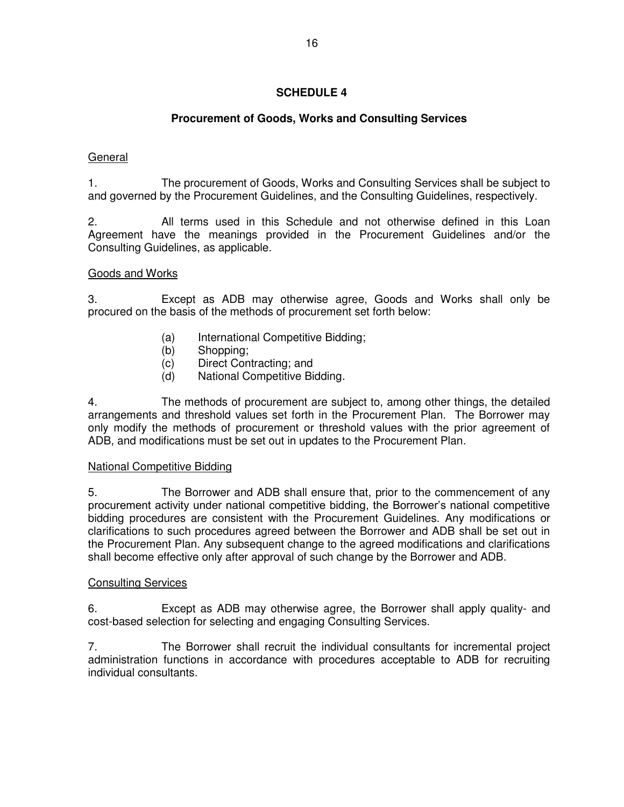# **Procurement of Goods, Works and Consulting Services**

## General

1. The procurement of Goods, Works and Consulting Services shall be subject to and governed by the Procurement Guidelines, and the Consulting Guidelines, respectively.

2. All terms used in this Schedule and not otherwise defined in this Loan Agreement have the meanings provided in the Procurement Guidelines and/or the Consulting Guidelines, as applicable.

## Goods and Works

3. Except as ADB may otherwise agree, Goods and Works shall only be procured on the basis of the methods of procurement set forth below:

- (a) International Competitive Bidding;
- (b) Shopping;
- (c) Direct Contracting; and
- (d) National Competitive Bidding.

4. The methods of procurement are subject to, among other things, the detailed arrangements and threshold values set forth in the Procurement Plan. The Borrower may only modify the methods of procurement or threshold values with the prior agreement of ADB, and modifications must be set out in updates to the Procurement Plan.

## National Competitive Bidding

5. The Borrower and ADB shall ensure that, prior to the commencement of any procurement activity under national competitive bidding, the Borrower's national competitive bidding procedures are consistent with the Procurement Guidelines. Any modifications or clarifications to such procedures agreed between the Borrower and ADB shall be set out in the Procurement Plan. Any subsequent change to the agreed modifications and clarifications shall become effective only after approval of such change by the Borrower and ADB.

## Consulting Services

6. Except as ADB may otherwise agree, the Borrower shall apply quality- and cost-based selection for selecting and engaging Consulting Services.

7. The Borrower shall recruit the individual consultants for incremental project administration functions in accordance with procedures acceptable to ADB for recruiting individual consultants.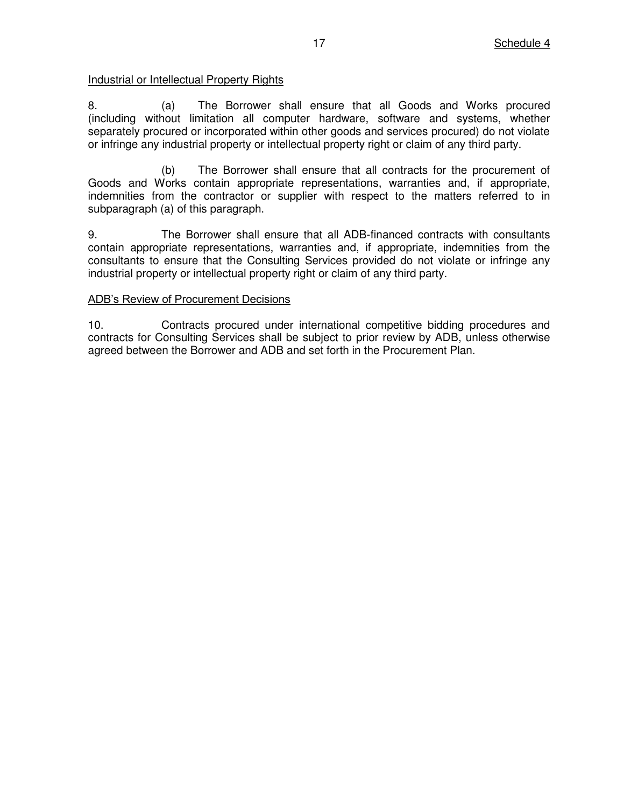## Industrial or Intellectual Property Rights

8. (a) The Borrower shall ensure that all Goods and Works procured (including without limitation all computer hardware, software and systems, whether separately procured or incorporated within other goods and services procured) do not violate or infringe any industrial property or intellectual property right or claim of any third party.

 (b) The Borrower shall ensure that all contracts for the procurement of Goods and Works contain appropriate representations, warranties and, if appropriate, indemnities from the contractor or supplier with respect to the matters referred to in subparagraph (a) of this paragraph.

9. The Borrower shall ensure that all ADB-financed contracts with consultants contain appropriate representations, warranties and, if appropriate, indemnities from the consultants to ensure that the Consulting Services provided do not violate or infringe any industrial property or intellectual property right or claim of any third party.

## ADB's Review of Procurement Decisions

10. Contracts procured under international competitive bidding procedures and contracts for Consulting Services shall be subject to prior review by ADB, unless otherwise agreed between the Borrower and ADB and set forth in the Procurement Plan.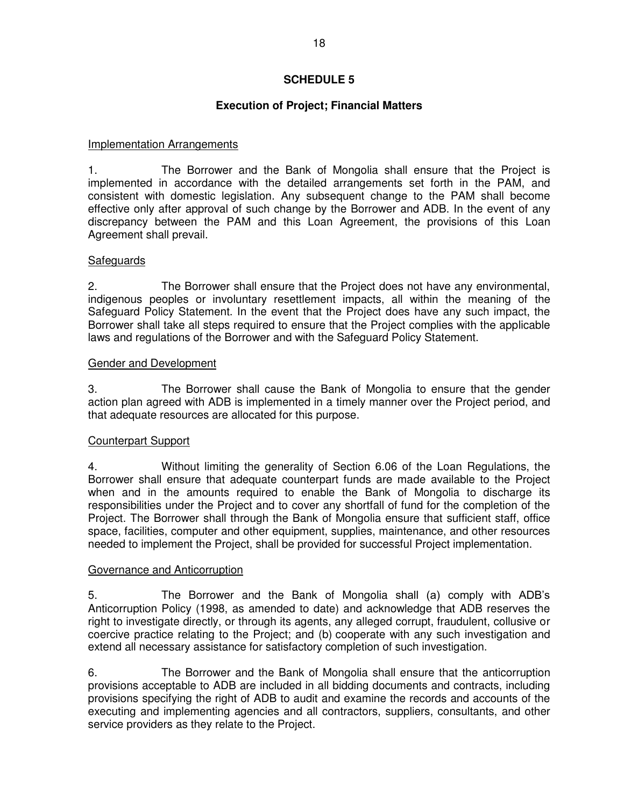## **Execution of Project; Financial Matters**

## Implementation Arrangements

1. The Borrower and the Bank of Mongolia shall ensure that the Project is implemented in accordance with the detailed arrangements set forth in the PAM, and consistent with domestic legislation. Any subsequent change to the PAM shall become effective only after approval of such change by the Borrower and ADB. In the event of any discrepancy between the PAM and this Loan Agreement, the provisions of this Loan Agreement shall prevail.

## Safeguards

2. The Borrower shall ensure that the Project does not have any environmental, indigenous peoples or involuntary resettlement impacts, all within the meaning of the Safeguard Policy Statement. In the event that the Project does have any such impact, the Borrower shall take all steps required to ensure that the Project complies with the applicable laws and regulations of the Borrower and with the Safeguard Policy Statement.

## Gender and Development

3. The Borrower shall cause the Bank of Mongolia to ensure that the gender action plan agreed with ADB is implemented in a timely manner over the Project period, and that adequate resources are allocated for this purpose.

## Counterpart Support

4. Without limiting the generality of Section 6.06 of the Loan Regulations, the Borrower shall ensure that adequate counterpart funds are made available to the Project when and in the amounts required to enable the Bank of Mongolia to discharge its responsibilities under the Project and to cover any shortfall of fund for the completion of the Project. The Borrower shall through the Bank of Mongolia ensure that sufficient staff, office space, facilities, computer and other equipment, supplies, maintenance, and other resources needed to implement the Project, shall be provided for successful Project implementation.

## Governance and Anticorruption

5. The Borrower and the Bank of Mongolia shall (a) comply with ADB's Anticorruption Policy (1998, as amended to date) and acknowledge that ADB reserves the right to investigate directly, or through its agents, any alleged corrupt, fraudulent, collusive or coercive practice relating to the Project; and (b) cooperate with any such investigation and extend all necessary assistance for satisfactory completion of such investigation.

6. The Borrower and the Bank of Mongolia shall ensure that the anticorruption provisions acceptable to ADB are included in all bidding documents and contracts, including provisions specifying the right of ADB to audit and examine the records and accounts of the executing and implementing agencies and all contractors, suppliers, consultants, and other service providers as they relate to the Project.